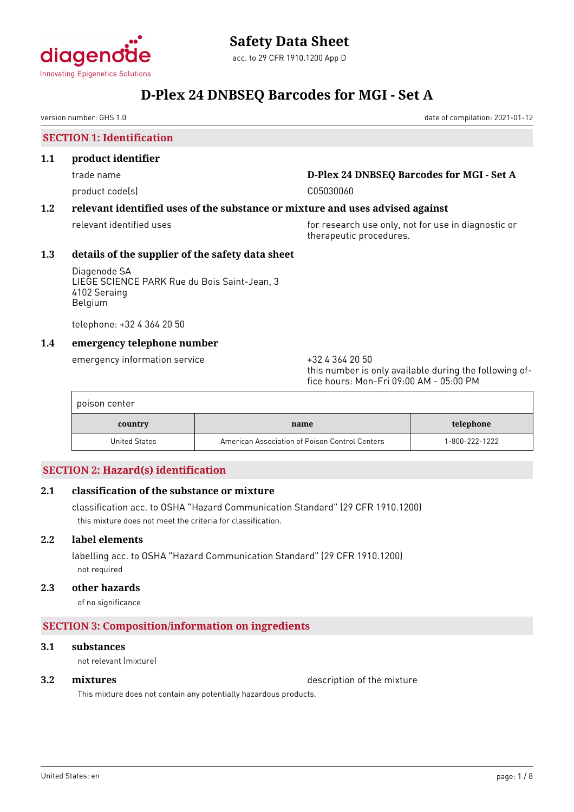

version number: GHS 1.0 date of compilation: 2021-01-12

#### **SECTION 1: Identification**

#### **1.1 product identifier**

product code(s) and contact to the contact code of the contact of the contact of the contact of the contact of the contact of the contact of the contact of the contact of the contact of the contact of the contact of the co

## trade name **D-Plex 24 DNBSEQ Barcodes for MGI - Set A**

## **1.2 relevant identified uses of the substance or mixture and uses advised against**

relevant identified uses **for research use only, not for use in diagnostic or** therapeutic procedures.

### **1.3 details of the supplier of the safety data sheet**

Diagenode SA LIEGE SCIENCE PARK Rue du Bois Saint-Jean, 3 4102 Seraing Belgium

telephone: +32 4 364 20 50

### **1.4 emergency telephone number**

emergency information service  $+3243642050$ 

this number is only available during the following office hours: Mon-Fri 09:00 AM - 05:00 PM

| poison center |                                                |                |
|---------------|------------------------------------------------|----------------|
| country       | name                                           | telephone      |
| United States | American Association of Poison Control Centers | 1-800-222-1222 |

## **SECTION 2: Hazard(s) identification**

## **2.1 classification of the substance or mixture**

classification acc. to OSHA "Hazard Communication Standard" (29 CFR 1910.1200) this mixture does not meet the criteria for classification.

### **2.2 label elements**

labelling acc. to OSHA "Hazard Communication Standard" (29 CFR 1910.1200) not required

### **2.3 other hazards**

of no significance

## **SECTION 3: Composition/information on ingredients**

#### **3.1 substances**

not relevant (mixture)

**3.2 mixtures** description of the mixture

This mixture does not contain any potentially hazardous products.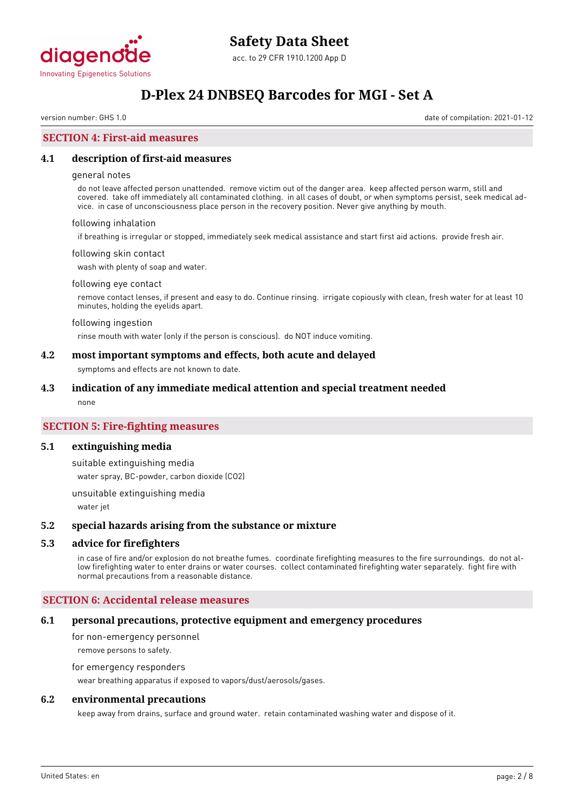

version number: GHS 1.0 date of compilation: 2021-01-12

### **SECTION 4: First-aid measures**

#### **4.1 description of first-aid measures**

#### general notes

do not leave affected person unattended. remove victim out of the danger area. keep affected person warm, still and covered. take off immediately all contaminated clothing. in all cases of doubt, or when symptoms persist, seek medical advice. in case of unconsciousness place person in the recovery position. Never give anything by mouth.

#### following inhalation

if breathing is irregular or stopped, immediately seek medical assistance and start first aid actions. provide fresh air.

#### following skin contact

wash with plenty of soap and water.

#### following eye contact

remove contact lenses, if present and easy to do. Continue rinsing. irrigate copiously with clean, fresh water for at least 10 minutes, holding the eyelids apart.

#### following ingestion

rinse mouth with water (only if the person is conscious). do NOT induce vomiting.

#### **4.2 most important symptoms and effects, both acute and delayed**

symptoms and effects are not known to date.

#### **4.3 indication of any immediate medical attention and special treatment needed**

none

### **SECTION 5: Fire-fighting measures**

#### **5.1 extinguishing media**

suitable extinguishing media

water spray, BC-powder, carbon dioxide (CO2)

unsuitable extinguishing media

water jet

#### **5.2 special hazards arising from the substance or mixture**

#### **5.3 advice for firefighters**

in case of fire and/or explosion do not breathe fumes. coordinate firefighting measures to the fire surroundings. do not allow firefighting water to enter drains or water courses. collect contaminated firefighting water separately. fight fire with normal precautions from a reasonable distance.

#### **SECTION 6: Accidental release measures**

#### **6.1 personal precautions, protective equipment and emergency procedures**

for non-emergency personnel remove persons to safety.

#### for emergency responders

wear breathing apparatus if exposed to vapors/dust/aerosols/gases.

#### **6.2 environmental precautions**

keep away from drains, surface and ground water. retain contaminated washing water and dispose of it.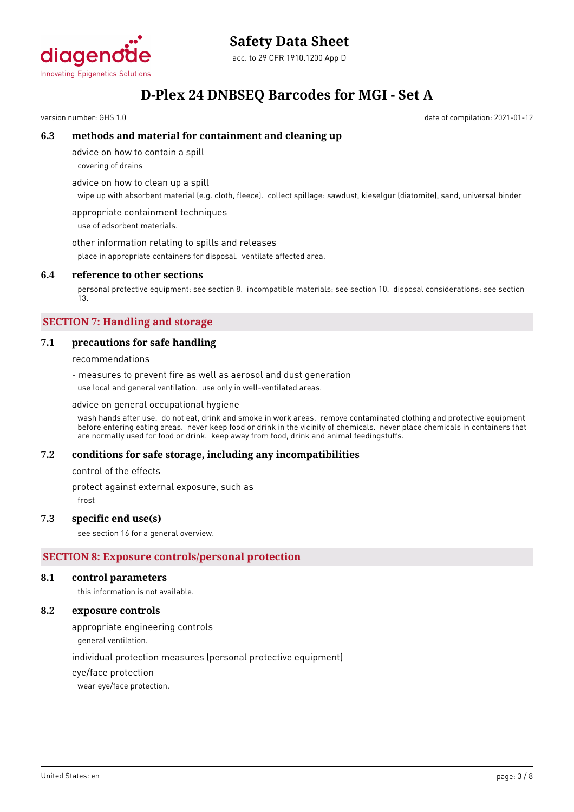

## **Safety Data Sheet**

acc. to 29 CFR 1910.1200 App D

## **D-Plex 24 DNBSEQ Barcodes for MGI - Set A**

version number: GHS 1.0 date of compilation: 2021-01-12

## **6.3 methods and material for containment and cleaning up**

advice on how to contain a spill

covering of drains

advice on how to clean up a spill

wipe up with absorbent material (e.g. cloth, fleece). collect spillage: sawdust, kieselgur (diatomite), sand, universal binder

appropriate containment techniques use of adsorbent materials.

other information relating to spills and releases

place in appropriate containers for disposal. ventilate affected area.

## **6.4 reference to other sections**

personal protective equipment: see section 8. incompatible materials: see section 10. disposal considerations: see section 13.

## **SECTION 7: Handling and storage**

## **7.1 precautions for safe handling**

## recommendations

- measures to prevent fire as well as aerosol and dust generation use local and general ventilation. use only in well-ventilated areas.

## advice on general occupational hygiene

wash hands after use. do not eat, drink and smoke in work areas. remove contaminated clothing and protective equipment before entering eating areas. never keep food or drink in the vicinity of chemicals. never place chemicals in containers that are normally used for food or drink. keep away from food, drink and animal feedingstuffs.

## **7.2 conditions for safe storage, including any incompatibilities**

control of the effects

protect against external exposure, such as

frost

## **7.3 specific end use(s)**

see section 16 for a general overview.

## **SECTION 8: Exposure controls/personal protection**

## **8.1 control parameters**

this information is not available.

## **8.2 exposure controls**

appropriate engineering controls

general ventilation.

individual protection measures (personal protective equipment)

eye/face protection

wear eye/face protection.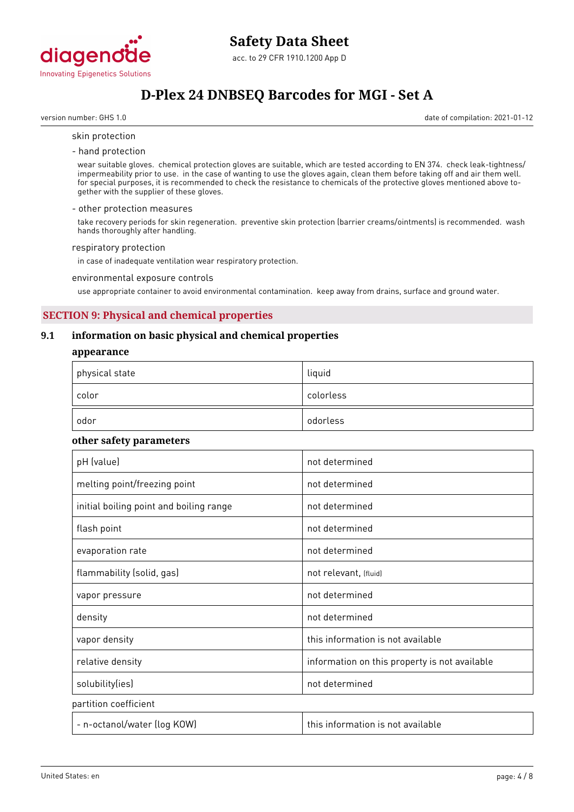

version number: GHS 1.0 date of compilation: 2021-01-12

#### skin protection

- hand protection

wear suitable gloves. chemical protection gloves are suitable, which are tested according to EN 374. check leak-tightness/ impermeability prior to use. in the case of wanting to use the gloves again, clean them before taking off and air them well. for special purposes, it is recommended to check the resistance to chemicals of the protective gloves mentioned above together with the supplier of these gloves.

#### - other protection measures

take recovery periods for skin regeneration. preventive skin protection (barrier creams/ointments) is recommended. wash hands thoroughly after handling.

#### respiratory protection

in case of inadequate ventilation wear respiratory protection.

#### environmental exposure controls

use appropriate container to avoid environmental contamination. keep away from drains, surface and ground water.

### **SECTION 9: Physical and chemical properties**

#### **9.1 information on basic physical and chemical properties**

#### **appearance**

| $^\mathrm{+}$ physical state | liquid    |
|------------------------------|-----------|
| color                        | colorless |
| odor                         | odorless  |

#### **other safety parameters**

| pH (value)                              | not determined                                |
|-----------------------------------------|-----------------------------------------------|
| melting point/freezing point            | not determined                                |
| initial boiling point and boiling range | not determined                                |
| flash point                             | not determined                                |
| evaporation rate                        | not determined                                |
| flammability (solid, gas)               | not relevant, (fluid)                         |
| vapor pressure                          | not determined                                |
| density                                 | not determined                                |
| vapor density                           | this information is not available             |
| relative density                        | information on this property is not available |
| solubility(ies)                         | not determined                                |
| partition coefficient                   |                                               |
| - n-octanol/water (log KOW)             | this information is not available             |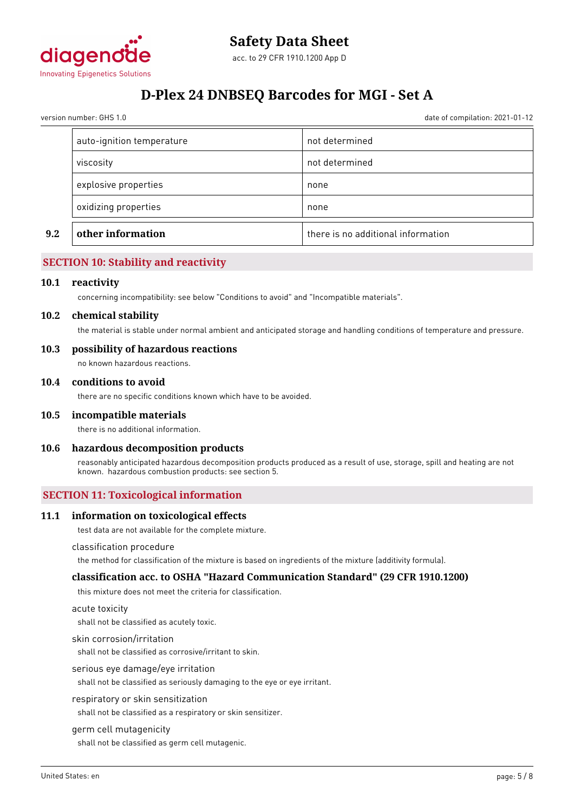

version number: GHS 1.0 date of compilation: 2021-01-12

| explosive properties<br>oxidizing properties | none<br>none   |
|----------------------------------------------|----------------|
|                                              |                |
|                                              |                |
| viscosity                                    | not determined |
| auto-ignition temperature                    | not determined |

### **SECTION 10: Stability and reactivity**

#### **10.1 reactivity**

concerning incompatibility: see below "Conditions to avoid" and "Incompatible materials".

#### **10.2 chemical stability**

the material is stable under normal ambient and anticipated storage and handling conditions of temperature and pressure.

#### **10.3 possibility of hazardous reactions**

no known hazardous reactions.

#### **10.4 conditions to avoid**

there are no specific conditions known which have to be avoided.

#### **10.5 incompatible materials**

there is no additional information.

#### **10.6 hazardous decomposition products**

reasonably anticipated hazardous decomposition products produced as a result of use, storage, spill and heating are not known. hazardous combustion products: see section 5.

#### **SECTION 11: Toxicological information**

#### **11.1 information on toxicological effects**

test data are not available for the complete mixture.

#### classification procedure

the method for classification of the mixture is based on ingredients of the mixture (additivity formula).

#### **classification acc. to OSHA "Hazard Communication Standard" (29 CFR 1910.1200)**

this mixture does not meet the criteria for classification.

#### acute toxicity

shall not be classified as acutely toxic.

#### skin corrosion/irritation

shall not be classified as corrosive/irritant to skin.

#### serious eye damage/eye irritation

shall not be classified as seriously damaging to the eye or eye irritant.

#### respiratory or skin sensitization

shall not be classified as a respiratory or skin sensitizer.

#### germ cell mutagenicity

shall not be classified as germ cell mutagenic.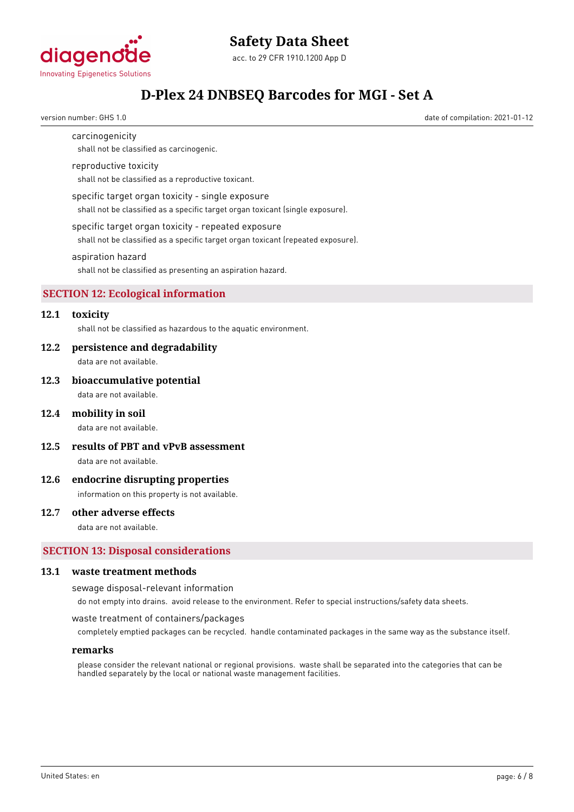

# **Safety Data Sheet**

acc. to 29 CFR 1910.1200 App D

## **D-Plex 24 DNBSEQ Barcodes for MGI - Set A**

version number: GHS 1.0 date of compilation: 2021-01-12

carcinogenicity

## shall not be classified as carcinogenic.

### reproductive toxicity

shall not be classified as a reproductive toxicant.

#### specific target organ toxicity - single exposure

shall not be classified as a specific target organ toxicant (single exposure).

#### specific target organ toxicity - repeated exposure

shall not be classified as a specific target organ toxicant (repeated exposure).

#### aspiration hazard

shall not be classified as presenting an aspiration hazard.

### **SECTION 12: Ecological information**

## **12.1 toxicity**

shall not be classified as hazardous to the aquatic environment.

#### **12.2 persistence and degradability**

data are not available.

#### **12.3 bioaccumulative potential**

data are not available.

#### **12.4 mobility in soil**

data are not available.

**12.5 results of PBT and vPvB assessment**

data are not available.

### **12.6 endocrine disrupting properties**

information on this property is not available.

#### **12.7 other adverse effects**

data are not available.

### **SECTION 13: Disposal considerations**

### **13.1 waste treatment methods**

sewage disposal-relevant information

do not empty into drains. avoid release to the environment. Refer to special instructions/safety data sheets.

#### waste treatment of containers/packages

completely emptied packages can be recycled. handle contaminated packages in the same way as the substance itself.

#### **remarks**

please consider the relevant national or regional provisions. waste shall be separated into the categories that can be handled separately by the local or national waste management facilities.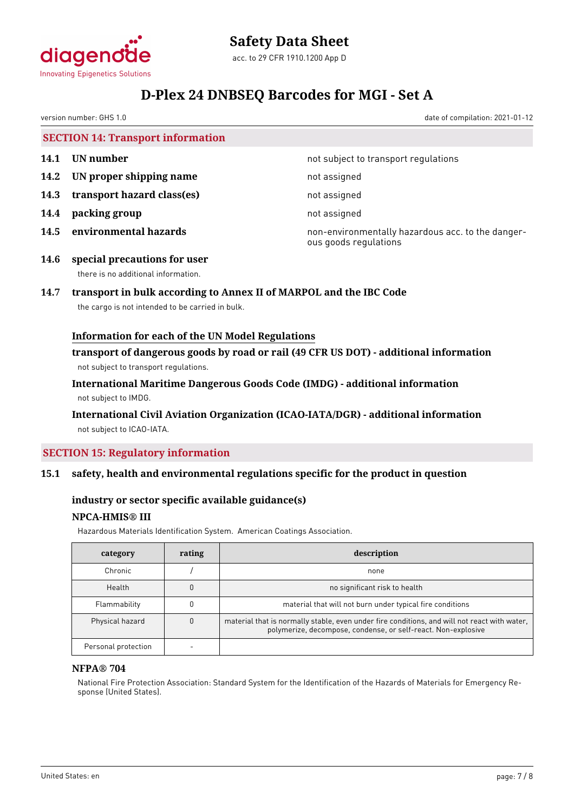

version number: GHS 1.0 date of compilation: 2021-01-12

|      | <b>SECTION 14: Transport information</b> |                                                   |
|------|------------------------------------------|---------------------------------------------------|
| 14.1 | UN number                                | not subject to transport regulations              |
|      | 14.2 UN proper shipping name             | not assigned                                      |
| 14.3 | transport hazard class(es)               | not assigned                                      |
| 14.4 | packing group                            | not assigned                                      |
| 14.5 | environmental hazards                    | non-environmentally hazardous acc. to the danger- |

ous goods regulations

**14.6 special precautions for user** there is no additional information.

## **14.7 transport in bulk according to Annex II of MARPOL and the IBC Code**

the cargo is not intended to be carried in bulk.

## **Information for each of the UN Model Regulations**

**transport of dangerous goods by road or rail (49 CFR US DOT) - additional information** not subject to transport regulations.

**International Maritime Dangerous Goods Code (IMDG) - additional information** not subject to IMDG.

### **International Civil Aviation Organization (ICAO-IATA/DGR) - additional information** not subject to ICAO-IATA.

## **SECTION 15: Regulatory information**

### **15.1 safety, health and environmental regulations specific for the product in question**

### **industry or sector specific available guidance(s)**

### **NPCA-HMIS® III**

Hazardous Materials Identification System. American Coatings Association.

| category            | rating | description                                                                                                                                                   |
|---------------------|--------|---------------------------------------------------------------------------------------------------------------------------------------------------------------|
| Chronic             |        | none                                                                                                                                                          |
| Health              |        | no significant risk to health                                                                                                                                 |
| Flammability        |        | material that will not burn under typical fire conditions                                                                                                     |
| Physical hazard     |        | material that is normally stable, even under fire conditions, and will not react with water,<br>polymerize, decompose, condense, or self-react. Non-explosive |
| Personal protection |        |                                                                                                                                                               |

#### **NFPA® 704**

National Fire Protection Association: Standard System for the Identification of the Hazards of Materials for Emergency Response (United States).